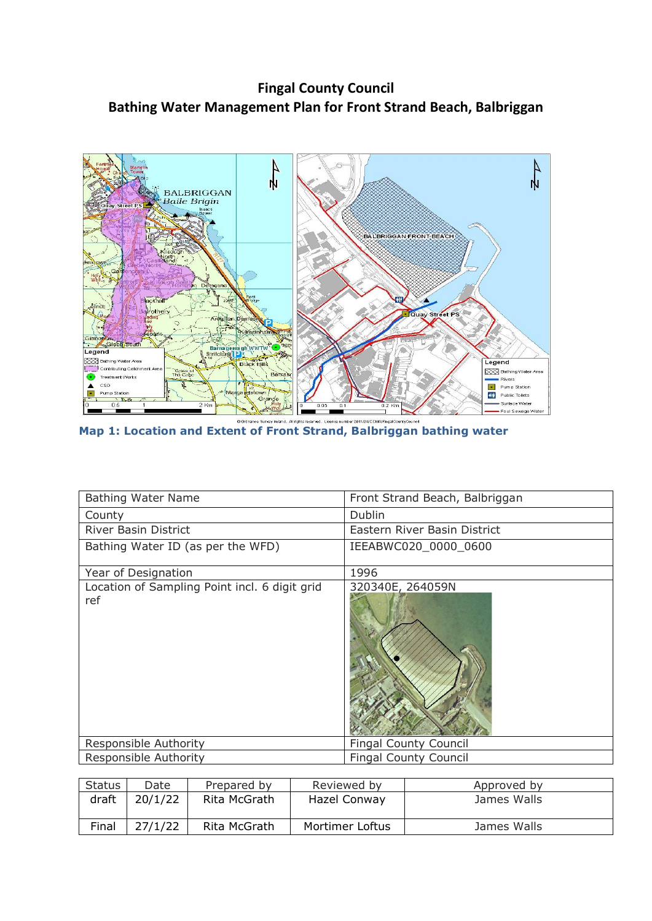**Fingal County Council Bathing Water Management Plan for Front Strand Beach, Balbriggan**



**Map 1: Location and Extent of Front Strand, Balbriggan bathing water**

| <b>Bathing Water Name</b>                            | Front Strand Beach, Balbriggan |
|------------------------------------------------------|--------------------------------|
| County                                               | <b>Dublin</b>                  |
| <b>River Basin District</b>                          | Eastern River Basin District   |
| Bathing Water ID (as per the WFD)                    | IEEABWC020_0000_0600           |
| Year of Designation                                  | 1996                           |
| Location of Sampling Point incl. 6 digit grid<br>ref | 320340E, 264059N               |
| Responsible Authority                                | <b>Fingal County Council</b>   |
| Responsible Authority                                | <b>Fingal County Council</b>   |

| <b>Status</b> | Date    | Prepared by  | Reviewed by     | Approved by |
|---------------|---------|--------------|-----------------|-------------|
| draft         | 20/1/22 | Rita McGrath | Hazel Conway    | James Walls |
| Final         | 27/1/22 | Rita McGrath | Mortimer Loftus | James Walls |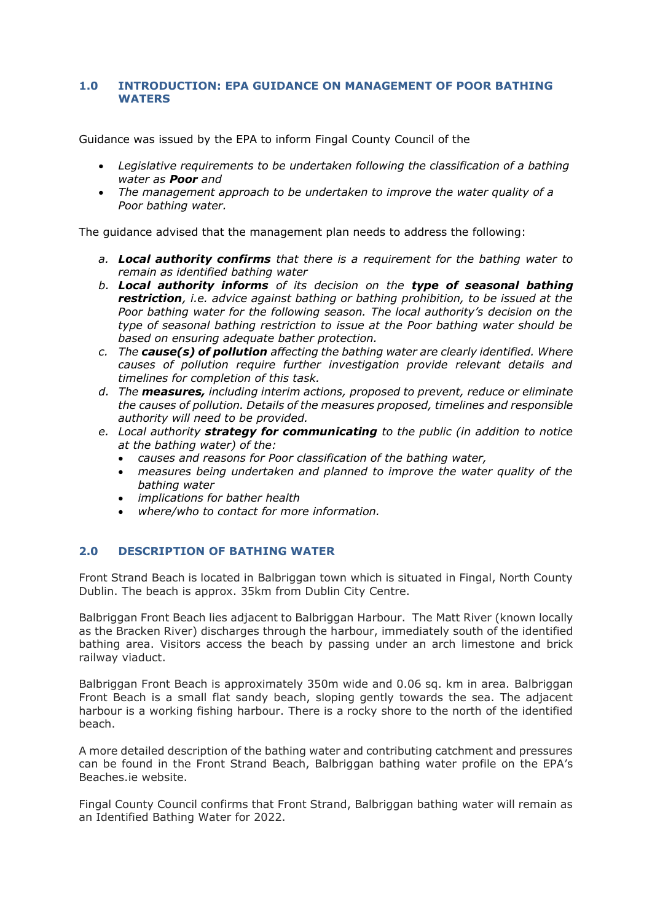#### **1.0 INTRODUCTION: EPA GUIDANCE ON MANAGEMENT OF POOR BATHING WATERS**

Guidance was issued by the EPA to inform Fingal County Council of the

- *Legislative requirements to be undertaken following the classification of a bathing water as Poor and*
- *The management approach to be undertaken to improve the water quality of a Poor bathing water.*

The guidance advised that the management plan needs to address the following:

- *a. Local authority confirms that there is a requirement for the bathing water to remain as identified bathing water*
- *b. Local authority informs of its decision on the type of seasonal bathing restriction, i.e. advice against bathing or bathing prohibition, to be issued at the Poor bathing water for the following season. The local authority's decision on the type of seasonal bathing restriction to issue at the Poor bathing water should be based on ensuring adequate bather protection.*
- *c. The cause(s) of pollution affecting the bathing water are clearly identified. Where causes of pollution require further investigation provide relevant details and timelines for completion of this task.*
- *d. The measures, including interim actions, proposed to prevent, reduce or eliminate the causes of pollution. Details of the measures proposed, timelines and responsible authority will need to be provided.*
- *e. Local authority strategy for communicating to the public (in addition to notice at the bathing water) of the:* 
	- *causes and reasons for Poor classification of the bathing water,*
	- *measures being undertaken and planned to improve the water quality of the bathing water*
	- *implications for bather health*
	- *where/who to contact for more information.*

#### **2.0 DESCRIPTION OF BATHING WATER**

Front Strand Beach is located in Balbriggan town which is situated in Fingal, North County Dublin. The beach is approx. 35km from Dublin City Centre.

Balbriggan Front Beach lies adjacent to Balbriggan Harbour. The Matt River (known locally as the Bracken River) discharges through the harbour, immediately south of the identified bathing area. Visitors access the beach by passing under an arch limestone and brick railway viaduct.

Balbriggan Front Beach is approximately 350m wide and 0.06 sq. km in area. Balbriggan Front Beach is a small flat sandy beach, sloping gently towards the sea. The adjacent harbour is a working fishing harbour. There is a rocky shore to the north of the identified beach.

A more detailed description of the bathing water and contributing catchment and pressures can be found in the Front Strand Beach, Balbriggan bathing water profile on the EPA's Beaches.ie website.

Fingal County Council confirms that Front Strand, Balbriggan bathing water will remain as an Identified Bathing Water for 2022.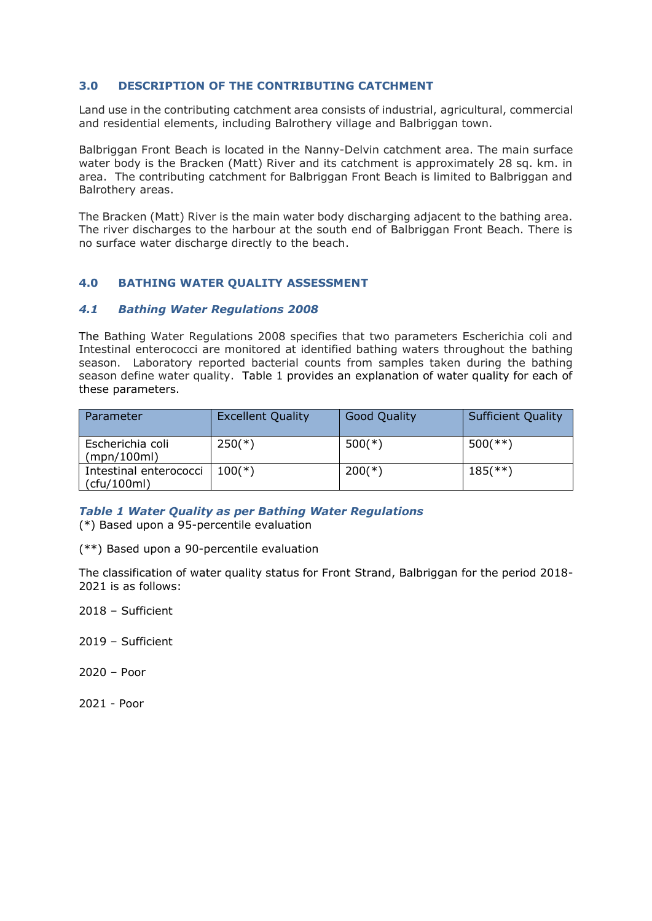### **3.0 DESCRIPTION OF THE CONTRIBUTING CATCHMENT**

Land use in the contributing catchment area consists of industrial, agricultural, commercial and residential elements, including Balrothery village and Balbriggan town.

Balbriggan Front Beach is located in the Nanny-Delvin catchment area. The main surface water body is the Bracken (Matt) River and its catchment is approximately 28 sq. km. in area. The contributing catchment for Balbriggan Front Beach is limited to Balbriggan and Balrothery areas.

The Bracken (Matt) River is the main water body discharging adjacent to the bathing area. The river discharges to the harbour at the south end of Balbriggan Front Beach. There is no surface water discharge directly to the beach.

## **4.0 BATHING WATER QUALITY ASSESSMENT**

#### *4.1 Bathing Water Regulations 2008*

The Bathing Water Regulations 2008 specifies that two parameters Escherichia coli and Intestinal enterococci are monitored at identified bathing waters throughout the bathing season. Laboratory reported bacterial counts from samples taken during the bathing season define water quality. Table 1 provides an explanation of water quality for each of these parameters.

| Parameter                             | <b>Excellent Quality</b> | <b>Good Quality</b> | <b>Sufficient Quality</b> |
|---------------------------------------|--------------------------|---------------------|---------------------------|
| Escherichia coli<br>(mpn/100ml)       | $250(*)$                 | $500(*)$            | $500$ (**)                |
| Intestinal enterococci<br>(cfu/100ml) | $100(*)$                 | $200(*)$            | $185$ (**)                |

*Table 1 Water Quality as per Bathing Water Regulations*

(\*) Based upon a 95-percentile evaluation

(\*\*) Based upon a 90-percentile evaluation

The classification of water quality status for Front Strand, Balbriggan for the period 2018- 2021 is as follows:

2018 – Sufficient

2019 – Sufficient

2020 – Poor

2021 - Poor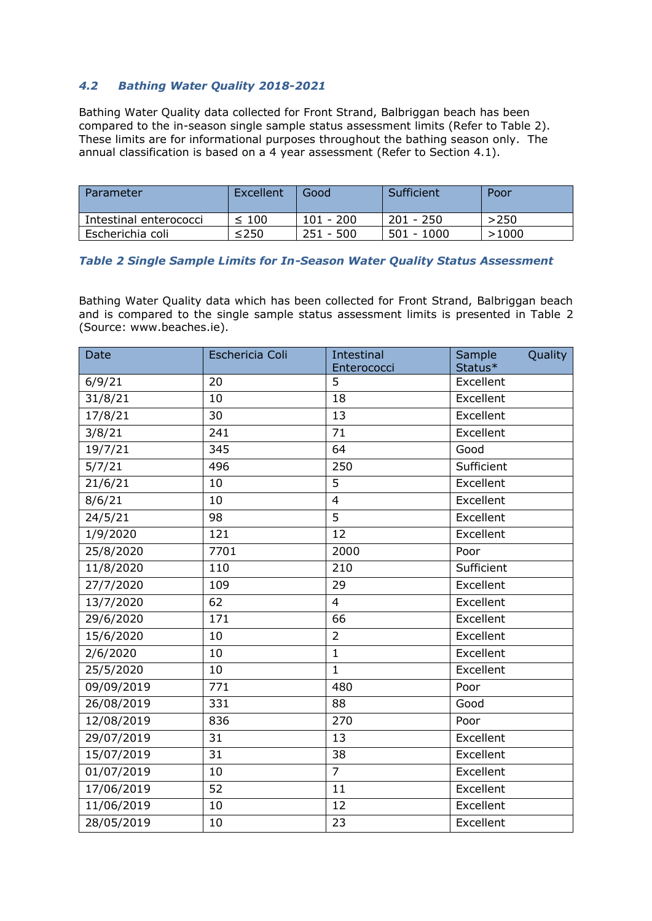# *4.2 Bathing Water Quality 2018-2021*

Bathing Water Quality data collected for Front Strand, Balbriggan beach has been compared to the in-season single sample status assessment limits (Refer to Table 2). These limits are for informational purposes throughout the bathing season only. The annual classification is based on a 4 year assessment (Refer to Section 4.1).

| Parameter              | Excellent  | Good        | Sufficient   | Poor  |
|------------------------|------------|-------------|--------------|-------|
| Intestinal enterococci | $\leq 100$ | $101 - 200$ | 201 - 250    | >250  |
| Escherichia coli       | $\leq$ 250 | $251 - 500$ | $501 - 1000$ | >1000 |

## *Table 2 Single Sample Limits for In-Season Water Quality Status Assessment*

Bathing Water Quality data which has been collected for Front Strand, Balbriggan beach and is compared to the single sample status assessment limits is presented in Table 2 (Source: www.beaches.ie).

| <b>Date</b> | Eschericia Coli | <b>Intestinal</b> | Sample<br>Quality |
|-------------|-----------------|-------------------|-------------------|
|             |                 | Enterococci       | Status*           |
| 6/9/21      | 20              | 5                 | Excellent         |
| 31/8/21     | 10              | 18                | Excellent         |
| 17/8/21     | 30              | 13                | Excellent         |
| 3/8/21      | 241             | 71                | Excellent         |
| 19/7/21     | 345             | 64                | Good              |
| 5/7/21      | 496             | 250               | Sufficient        |
| 21/6/21     | 10              | 5                 | Excellent         |
| 8/6/21      | 10              | $\overline{4}$    | Excellent         |
| 24/5/21     | 98              | 5                 | Excellent         |
| 1/9/2020    | 121             | 12                | Excellent         |
| 25/8/2020   | 7701            | 2000              | Poor              |
| 11/8/2020   | 110             | 210               | Sufficient        |
| 27/7/2020   | 109             | 29                | Excellent         |
| 13/7/2020   | 62              | $\overline{4}$    | Excellent         |
| 29/6/2020   | 171             | 66                | Excellent         |
| 15/6/2020   | 10              | $\overline{2}$    | Excellent         |
| 2/6/2020    | 10              | $\mathbf{1}$      | Excellent         |
| 25/5/2020   | 10              | $\mathbf{1}$      | Excellent         |
| 09/09/2019  | 771             | 480               | Poor              |
| 26/08/2019  | 331             | 88                | Good              |
| 12/08/2019  | 836             | 270               | Poor              |
| 29/07/2019  | 31              | 13                | Excellent         |
| 15/07/2019  | 31              | 38                | Excellent         |
| 01/07/2019  | 10              | $\overline{7}$    | Excellent         |
| 17/06/2019  | 52              | 11                | Excellent         |
| 11/06/2019  | 10              | 12                | Excellent         |
| 28/05/2019  | 10              | 23                | Excellent         |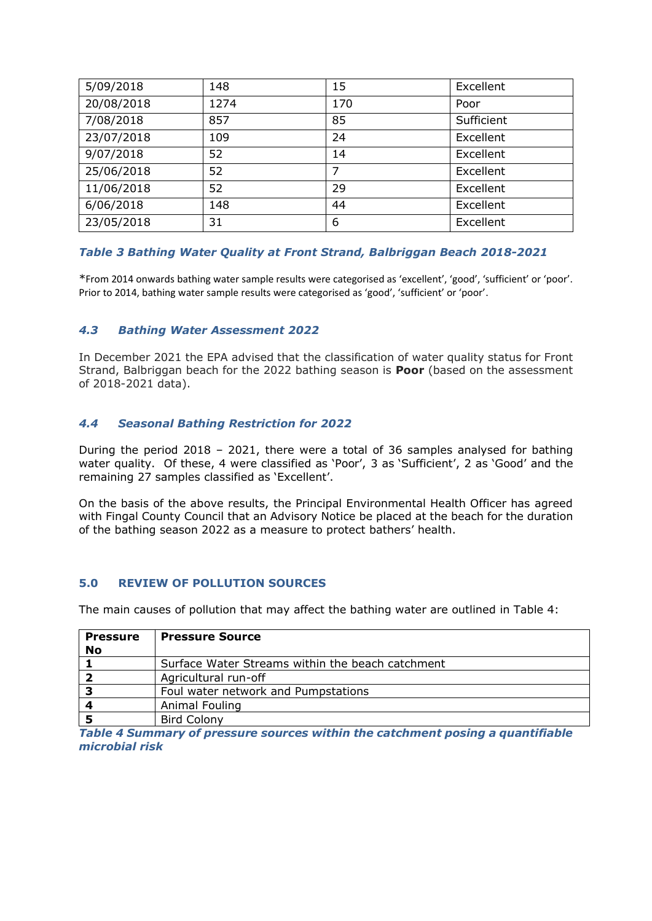| 5/09/2018  | 148  | 15  | Excellent  |
|------------|------|-----|------------|
| 20/08/2018 | 1274 | 170 | Poor       |
| 7/08/2018  | 857  | 85  | Sufficient |
| 23/07/2018 | 109  | 24  | Excellent  |
| 9/07/2018  | 52   | 14  | Excellent  |
| 25/06/2018 | 52   | 7   | Excellent  |
| 11/06/2018 | 52   | 29  | Excellent  |
| 6/06/2018  | 148  | 44  | Excellent  |
| 23/05/2018 | 31   | 6   | Excellent  |

## *Table 3 Bathing Water Quality at Front Strand, Balbriggan Beach 2018-2021*

\*From 2014 onwards bathing water sample results were categorised as 'excellent', 'good', 'sufficient' or 'poor'. Prior to 2014, bathing water sample results were categorised as 'good', 'sufficient' or 'poor'.

## *4.3 Bathing Water Assessment 2022*

In December 2021 the EPA advised that the classification of water quality status for Front Strand, Balbriggan beach for the 2022 bathing season is **Poor** (based on the assessment of 2018-2021 data).

## *4.4 Seasonal Bathing Restriction for 2022*

During the period 2018 – 2021, there were a total of 36 samples analysed for bathing water quality. Of these, 4 were classified as 'Poor', 3 as 'Sufficient', 2 as 'Good' and the remaining 27 samples classified as 'Excellent'.

On the basis of the above results, the Principal Environmental Health Officer has agreed with Fingal County Council that an Advisory Notice be placed at the beach for the duration of the bathing season 2022 as a measure to protect bathers' health.

#### **5.0 REVIEW OF POLLUTION SOURCES**

The main causes of pollution that may affect the bathing water are outlined in Table 4:

| <b>Pressure</b> | <b>Pressure Source</b>                           |
|-----------------|--------------------------------------------------|
| <b>No</b>       |                                                  |
|                 | Surface Water Streams within the beach catchment |
|                 | Agricultural run-off                             |
|                 | Foul water network and Pumpstations              |
|                 | Animal Fouling                                   |
|                 | <b>Bird Colony</b>                               |

*Table 4 Summary of pressure sources within the catchment posing a quantifiable microbial risk*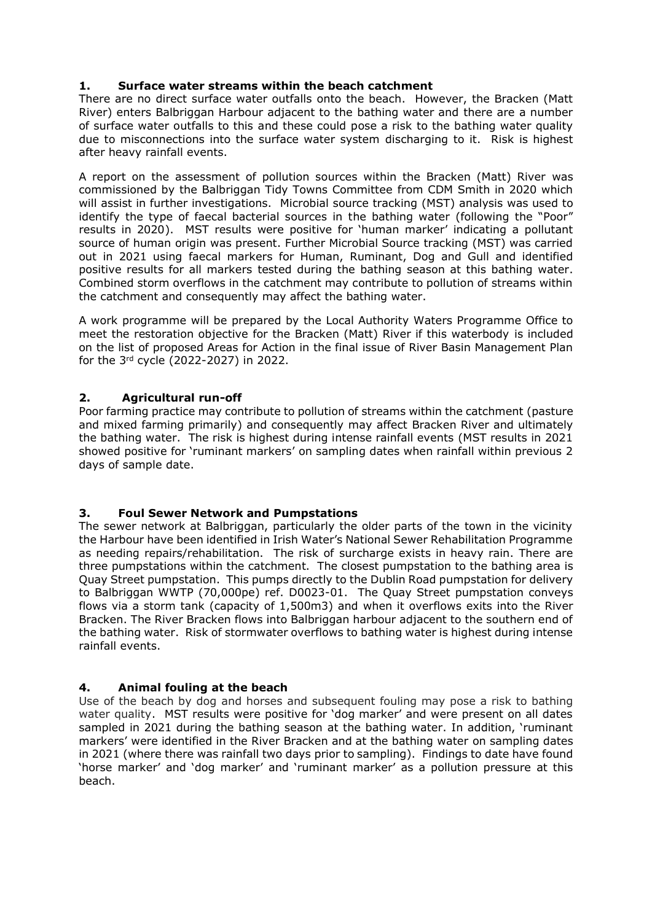## **1. Surface water streams within the beach catchment**

There are no direct surface water outfalls onto the beach. However, the Bracken (Matt River) enters Balbriggan Harbour adjacent to the bathing water and there are a number of surface water outfalls to this and these could pose a risk to the bathing water quality due to misconnections into the surface water system discharging to it. Risk is highest after heavy rainfall events.

A report on the assessment of pollution sources within the Bracken (Matt) River was commissioned by the Balbriggan Tidy Towns Committee from CDM Smith in 2020 which will assist in further investigations. Microbial source tracking (MST) analysis was used to identify the type of faecal bacterial sources in the bathing water (following the "Poor" results in 2020). MST results were positive for 'human marker' indicating a pollutant source of human origin was present. Further Microbial Source tracking (MST) was carried out in 2021 using faecal markers for Human, Ruminant, Dog and Gull and identified positive results for all markers tested during the bathing season at this bathing water. Combined storm overflows in the catchment may contribute to pollution of streams within the catchment and consequently may affect the bathing water.

A work programme will be prepared by the Local Authority Waters Programme Office to meet the restoration objective for the Bracken (Matt) River if this waterbody is included on the list of proposed Areas for Action in the final issue of River Basin Management Plan for the 3rd cycle (2022-2027) in 2022.

## **2. Agricultural run-off**

Poor farming practice may contribute to pollution of streams within the catchment (pasture and mixed farming primarily) and consequently may affect Bracken River and ultimately the bathing water. The risk is highest during intense rainfall events (MST results in 2021 showed positive for 'ruminant markers' on sampling dates when rainfall within previous 2 days of sample date.

## **3. Foul Sewer Network and Pumpstations**

The sewer network at Balbriggan, particularly the older parts of the town in the vicinity the Harbour have been identified in Irish Water's National Sewer Rehabilitation Programme as needing repairs/rehabilitation. The risk of surcharge exists in heavy rain. There are three pumpstations within the catchment. The closest pumpstation to the bathing area is Quay Street pumpstation. This pumps directly to the Dublin Road pumpstation for delivery to Balbriggan WWTP (70,000pe) ref. D0023-01. The Quay Street pumpstation conveys flows via a storm tank (capacity of 1,500m3) and when it overflows exits into the River Bracken. The River Bracken flows into Balbriggan harbour adjacent to the southern end of the bathing water. Risk of stormwater overflows to bathing water is highest during intense rainfall events.

## **4. Animal fouling at the beach**

Use of the beach by dog and horses and subsequent fouling may pose a risk to bathing water quality. MST results were positive for 'dog marker' and were present on all dates sampled in 2021 during the bathing season at the bathing water. In addition, 'ruminant markers' were identified in the River Bracken and at the bathing water on sampling dates in 2021 (where there was rainfall two days prior to sampling). Findings to date have found 'horse marker' and 'dog marker' and 'ruminant marker' as a pollution pressure at this beach.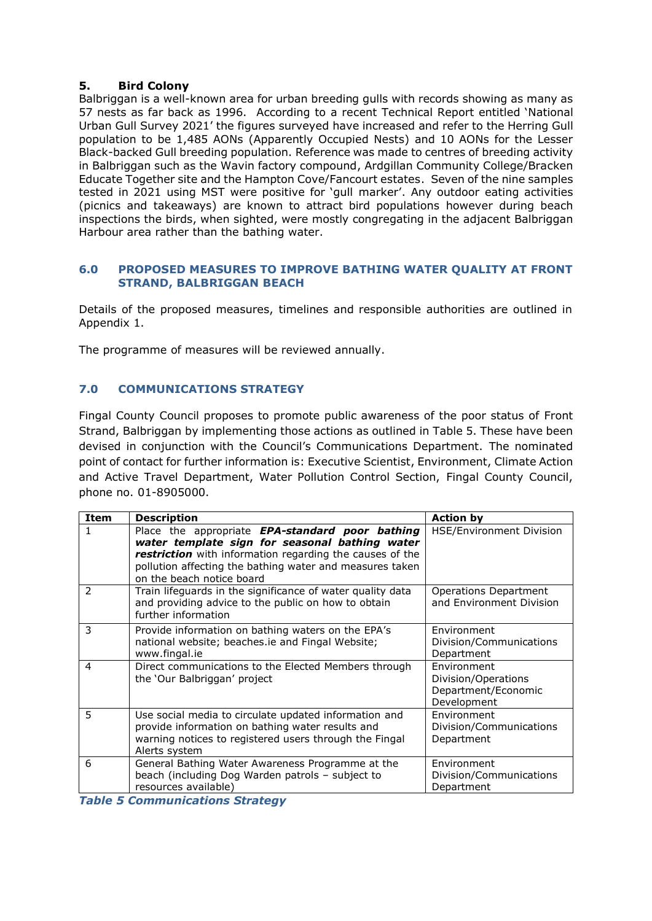## **5. Bird Colony**

Balbriggan is a well-known area for urban breeding gulls with records showing as many as 57 nests as far back as 1996. According to a recent Technical Report entitled 'National Urban Gull Survey 2021' the figures surveyed have increased and refer to the Herring Gull population to be 1,485 AONs (Apparently Occupied Nests) and 10 AONs for the Lesser Black-backed Gull breeding population. Reference was made to centres of breeding activity in Balbriggan such as the Wavin factory compound, Ardgillan Community College/Bracken Educate Together site and the Hampton Cove/Fancourt estates. Seven of the nine samples tested in 2021 using MST were positive for 'gull marker'. Any outdoor eating activities (picnics and takeaways) are known to attract bird populations however during beach inspections the birds, when sighted, were mostly congregating in the adjacent Balbriggan Harbour area rather than the bathing water.

### **6.0 PROPOSED MEASURES TO IMPROVE BATHING WATER QUALITY AT FRONT STRAND, BALBRIGGAN BEACH**

Details of the proposed measures, timelines and responsible authorities are outlined in Appendix 1.

The programme of measures will be reviewed annually.

# **7.0 COMMUNICATIONS STRATEGY**

Fingal County Council proposes to promote public awareness of the poor status of Front Strand, Balbriggan by implementing those actions as outlined in Table 5. These have been devised in conjunction with the Council's Communications Department. The nominated point of contact for further information is: Executive Scientist, Environment, Climate Action and Active Travel Department, Water Pollution Control Section, Fingal County Council, phone no. 01-8905000.

| Item | <b>Description</b>                                                                                                                                                                                                                                     | <b>Action by</b>                                                         |
|------|--------------------------------------------------------------------------------------------------------------------------------------------------------------------------------------------------------------------------------------------------------|--------------------------------------------------------------------------|
| 1    | Place the appropriate EPA-standard poor bathing<br>water template sign for seasonal bathing water<br>restriction with information regarding the causes of the<br>pollution affecting the bathing water and measures taken<br>on the beach notice board | <b>HSE/Environment Division</b>                                          |
| 2    | Train lifeguards in the significance of water quality data<br>and providing advice to the public on how to obtain<br>further information                                                                                                               | Operations Department<br>and Environment Division                        |
| 3    | Provide information on bathing waters on the EPA's<br>national website; beaches.ie and Fingal Website;<br>www.fingal.ie                                                                                                                                | Environment<br>Division/Communications<br>Department                     |
| 4    | Direct communications to the Elected Members through<br>the 'Our Balbriggan' project                                                                                                                                                                   | Environment<br>Division/Operations<br>Department/Economic<br>Development |
| 5    | Use social media to circulate updated information and<br>provide information on bathing water results and<br>warning notices to registered users through the Fingal<br>Alerts system                                                                   | Environment<br>Division/Communications<br>Department                     |
| 6    | General Bathing Water Awareness Programme at the<br>beach (including Dog Warden patrols - subject to<br>resources available)                                                                                                                           | Environment<br>Division/Communications<br>Department                     |

*Table 5 Communications Strategy*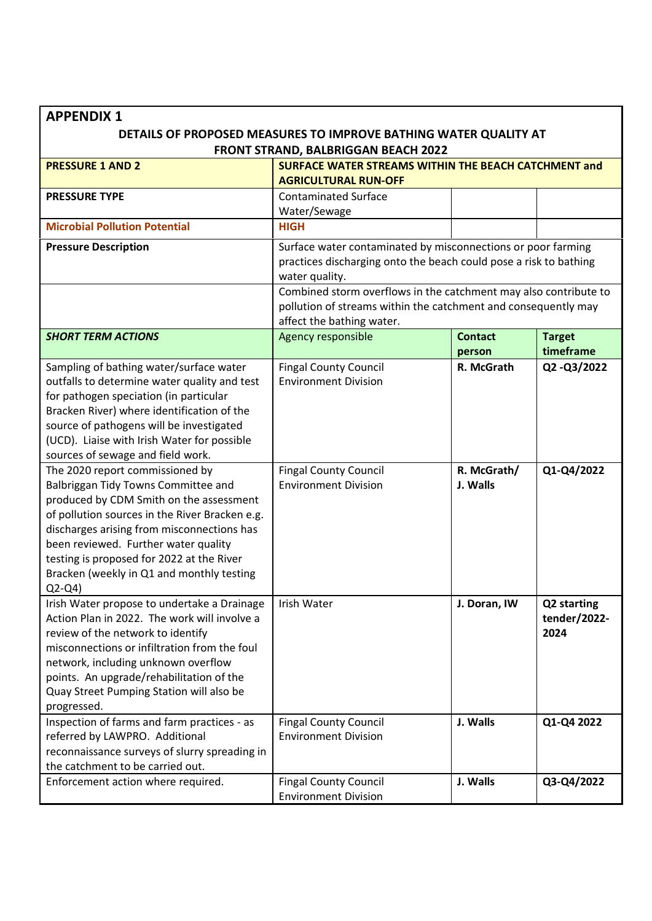| <b>APPENDIX 1</b>                                                                                                                                                                                                                                                                                                                                                                                                                                                                                                                                                                                                                                                                 |                                                                                                                                                                                                                         |                                       |                                     |  |  |
|-----------------------------------------------------------------------------------------------------------------------------------------------------------------------------------------------------------------------------------------------------------------------------------------------------------------------------------------------------------------------------------------------------------------------------------------------------------------------------------------------------------------------------------------------------------------------------------------------------------------------------------------------------------------------------------|-------------------------------------------------------------------------------------------------------------------------------------------------------------------------------------------------------------------------|---------------------------------------|-------------------------------------|--|--|
| DETAILS OF PROPOSED MEASURES TO IMPROVE BATHING WATER QUALITY AT<br>FRONT STRAND, BALBRIGGAN BEACH 2022                                                                                                                                                                                                                                                                                                                                                                                                                                                                                                                                                                           |                                                                                                                                                                                                                         |                                       |                                     |  |  |
| <b>PRESSURE 1 AND 2</b>                                                                                                                                                                                                                                                                                                                                                                                                                                                                                                                                                                                                                                                           | SURFACE WATER STREAMS WITHIN THE BEACH CATCHMENT and<br><b>AGRICULTURAL RUN-OFF</b>                                                                                                                                     |                                       |                                     |  |  |
| <b>PRESSURE TYPE</b>                                                                                                                                                                                                                                                                                                                                                                                                                                                                                                                                                                                                                                                              | <b>Contaminated Surface</b><br>Water/Sewage                                                                                                                                                                             |                                       |                                     |  |  |
| <b>Microbial Pollution Potential</b>                                                                                                                                                                                                                                                                                                                                                                                                                                                                                                                                                                                                                                              | <b>HIGH</b>                                                                                                                                                                                                             |                                       |                                     |  |  |
| <b>Pressure Description</b>                                                                                                                                                                                                                                                                                                                                                                                                                                                                                                                                                                                                                                                       | Surface water contaminated by misconnections or poor farming<br>practices discharging onto the beach could pose a risk to bathing<br>water quality.<br>Combined storm overflows in the catchment may also contribute to |                                       |                                     |  |  |
|                                                                                                                                                                                                                                                                                                                                                                                                                                                                                                                                                                                                                                                                                   | pollution of streams within the catchment and consequently may<br>affect the bathing water.                                                                                                                             |                                       |                                     |  |  |
| <b>SHORT TERM ACTIONS</b>                                                                                                                                                                                                                                                                                                                                                                                                                                                                                                                                                                                                                                                         | Agency responsible                                                                                                                                                                                                      | <b>Contact</b><br>person              | <b>Target</b><br>timeframe          |  |  |
| Sampling of bathing water/surface water<br>outfalls to determine water quality and test<br>for pathogen speciation (in particular<br>Bracken River) where identification of the<br>source of pathogens will be investigated<br>(UCD). Liaise with Irish Water for possible<br>sources of sewage and field work.<br>The 2020 report commissioned by<br>Balbriggan Tidy Towns Committee and<br>produced by CDM Smith on the assessment<br>of pollution sources in the River Bracken e.g.<br>discharges arising from misconnections has<br>been reviewed. Further water quality<br>testing is proposed for 2022 at the River<br>Bracken (weekly in Q1 and monthly testing<br>$Q2-Q4$ | <b>Fingal County Council</b><br><b>Environment Division</b><br><b>Fingal County Council</b><br><b>Environment Division</b>                                                                                              | R. McGrath<br>R. McGrath/<br>J. Walls | Q2-Q3/2022<br>Q1-Q4/2022            |  |  |
| Irish Water propose to undertake a Drainage<br>Action Plan in 2022. The work will involve a<br>review of the network to identify<br>misconnections or infiltration from the foul<br>network, including unknown overflow<br>points. An upgrade/rehabilitation of the<br>Quay Street Pumping Station will also be<br>progressed.                                                                                                                                                                                                                                                                                                                                                    | Irish Water                                                                                                                                                                                                             | J. Doran, IW                          | Q2 starting<br>tender/2022-<br>2024 |  |  |
| Inspection of farms and farm practices - as<br>referred by LAWPRO. Additional<br>reconnaissance surveys of slurry spreading in<br>the catchment to be carried out.                                                                                                                                                                                                                                                                                                                                                                                                                                                                                                                | <b>Fingal County Council</b><br><b>Environment Division</b>                                                                                                                                                             | J. Walls                              | Q1-Q4 2022                          |  |  |
| Enforcement action where required.                                                                                                                                                                                                                                                                                                                                                                                                                                                                                                                                                                                                                                                | <b>Fingal County Council</b><br><b>Environment Division</b>                                                                                                                                                             | J. Walls                              | Q3-Q4/2022                          |  |  |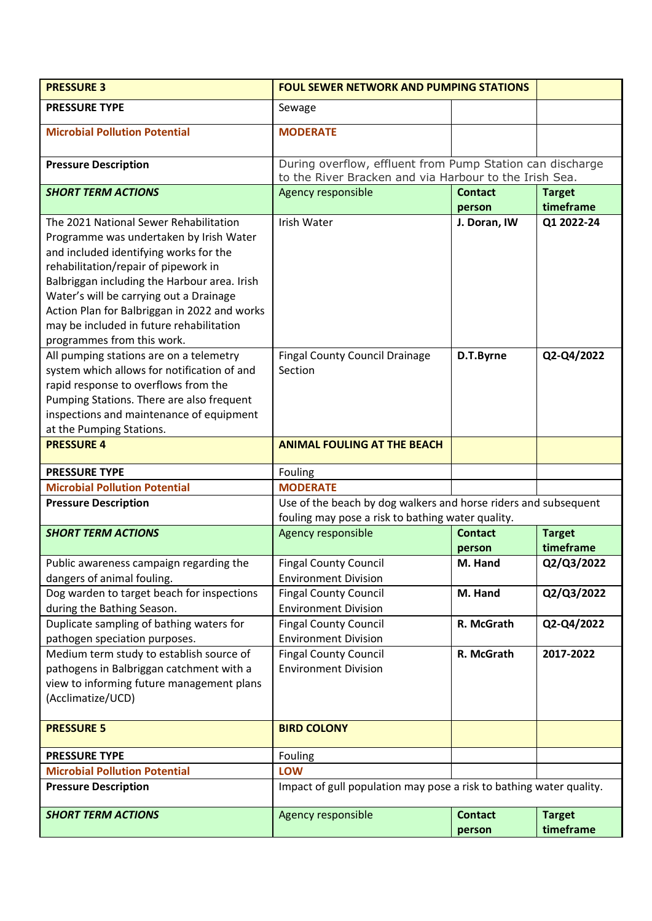| <b>PRESSURE 3</b>                                                                                                                                                                                                                                                                                                                                                                        | <b>FOUL SEWER NETWORK AND PUMPING STATIONS</b>                                                                       |                          |                            |
|------------------------------------------------------------------------------------------------------------------------------------------------------------------------------------------------------------------------------------------------------------------------------------------------------------------------------------------------------------------------------------------|----------------------------------------------------------------------------------------------------------------------|--------------------------|----------------------------|
| <b>PRESSURE TYPE</b>                                                                                                                                                                                                                                                                                                                                                                     | Sewage                                                                                                               |                          |                            |
| <b>Microbial Pollution Potential</b>                                                                                                                                                                                                                                                                                                                                                     | <b>MODERATE</b>                                                                                                      |                          |                            |
| <b>Pressure Description</b>                                                                                                                                                                                                                                                                                                                                                              | During overflow, effluent from Pump Station can discharge<br>to the River Bracken and via Harbour to the Irish Sea.  |                          |                            |
| <b>SHORT TERM ACTIONS</b>                                                                                                                                                                                                                                                                                                                                                                | <b>Agency responsible</b>                                                                                            | <b>Contact</b><br>person | <b>Target</b><br>timeframe |
| The 2021 National Sewer Rehabilitation<br>Programme was undertaken by Irish Water<br>and included identifying works for the<br>rehabilitation/repair of pipework in<br>Balbriggan including the Harbour area. Irish<br>Water's will be carrying out a Drainage<br>Action Plan for Balbriggan in 2022 and works<br>may be included in future rehabilitation<br>programmes from this work. | Irish Water                                                                                                          | J. Doran, IW             | Q1 2022-24                 |
| All pumping stations are on a telemetry<br>system which allows for notification of and<br>rapid response to overflows from the<br>Pumping Stations. There are also frequent<br>inspections and maintenance of equipment<br>at the Pumping Stations.                                                                                                                                      | <b>Fingal County Council Drainage</b><br>Section                                                                     | D.T.Byrne                | Q2-Q4/2022                 |
| <b>PRESSURE 4</b>                                                                                                                                                                                                                                                                                                                                                                        | <b>ANIMAL FOULING AT THE BEACH</b>                                                                                   |                          |                            |
| <b>PRESSURE TYPE</b>                                                                                                                                                                                                                                                                                                                                                                     | Fouling                                                                                                              |                          |                            |
| <b>Microbial Pollution Potential</b>                                                                                                                                                                                                                                                                                                                                                     | <b>MODERATE</b>                                                                                                      |                          |                            |
| <b>Pressure Description</b>                                                                                                                                                                                                                                                                                                                                                              | Use of the beach by dog walkers and horse riders and subsequent<br>fouling may pose a risk to bathing water quality. |                          |                            |
| <b>SHORT TERM ACTIONS</b>                                                                                                                                                                                                                                                                                                                                                                | Agency responsible                                                                                                   | <b>Contact</b><br>person | <b>Target</b><br>timeframe |
| Public awareness campaign regarding the                                                                                                                                                                                                                                                                                                                                                  | <b>Fingal County Council</b>                                                                                         | M. Hand                  | Q2/Q3/2022                 |
| dangers of animal fouling.                                                                                                                                                                                                                                                                                                                                                               | <b>Environment Division</b>                                                                                          |                          |                            |
| Dog warden to target beach for inspections                                                                                                                                                                                                                                                                                                                                               | <b>Fingal County Council</b>                                                                                         | M. Hand                  | Q2/Q3/2022                 |
| during the Bathing Season.                                                                                                                                                                                                                                                                                                                                                               | <b>Environment Division</b>                                                                                          |                          |                            |
| Duplicate sampling of bathing waters for                                                                                                                                                                                                                                                                                                                                                 | <b>Fingal County Council</b>                                                                                         | R. McGrath               | Q2-Q4/2022                 |
| pathogen speciation purposes.                                                                                                                                                                                                                                                                                                                                                            | <b>Environment Division</b>                                                                                          |                          |                            |
| Medium term study to establish source of<br>pathogens in Balbriggan catchment with a<br>view to informing future management plans<br>(Acclimatize/UCD)                                                                                                                                                                                                                                   | <b>Fingal County Council</b><br><b>Environment Division</b>                                                          | R. McGrath               | 2017-2022                  |
| <b>PRESSURE 5</b>                                                                                                                                                                                                                                                                                                                                                                        | <b>BIRD COLONY</b>                                                                                                   |                          |                            |
| <b>PRESSURE TYPE</b>                                                                                                                                                                                                                                                                                                                                                                     | Fouling                                                                                                              |                          |                            |
| <b>Microbial Pollution Potential</b>                                                                                                                                                                                                                                                                                                                                                     | LOW                                                                                                                  |                          |                            |
| <b>Pressure Description</b>                                                                                                                                                                                                                                                                                                                                                              | Impact of gull population may pose a risk to bathing water quality.                                                  |                          |                            |
| <b>SHORT TERM ACTIONS</b>                                                                                                                                                                                                                                                                                                                                                                | <b>Agency responsible</b>                                                                                            | <b>Contact</b><br>person | <b>Target</b><br>timeframe |